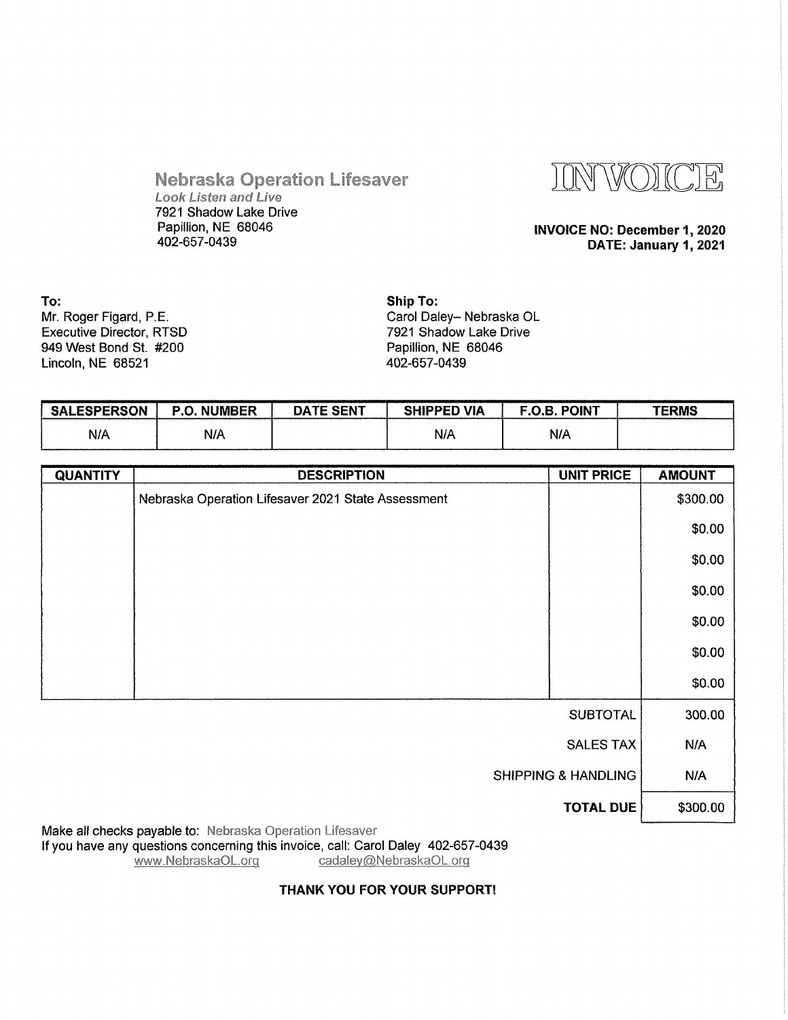

**Nebraska Operation Lifesaver Look Listen and Live** 7921 Shadow Lake Drive Papillion, NE 68046 402-657-0439

#### INVOICE NO: December 1, 2020 DATE: January 1, 2021

To: Mr. Roger Figard, P.E. Executive Director, RTSD 949 West Bond St. #200 Lincoln, NE 68521

Ship To: Carol Daley- Nebraska OL 7921 Shadow Lake Drive Papillion, NE 68046 402-657-0439

| <b>SALESPERSON</b> | . NUMBER<br>P.O. | <b>DATE SENT</b> | <b>SHIPPED VIA</b> | <b>F.O.B. POINT</b> | TERMS |
|--------------------|------------------|------------------|--------------------|---------------------|-------|
| N/A                | N/A              |                  | N/A                | N/A                 |       |

| <b>QUANTITY</b>                | <b>DESCRIPTION</b>                                 | <b>UNIT PRICE</b> | <b>AMOUNT</b> |
|--------------------------------|----------------------------------------------------|-------------------|---------------|
|                                | Nebraska Operation Lifesaver 2021 State Assessment |                   | \$300.00      |
|                                |                                                    |                   | \$0.00        |
|                                |                                                    |                   | \$0.00        |
|                                |                                                    |                   | \$0.00        |
|                                |                                                    |                   | \$0.00        |
|                                |                                                    |                   | \$0.00        |
|                                |                                                    |                   | \$0.00        |
|                                |                                                    | <b>SUBTOTAL</b>   | 300.00        |
| <b>SALES TAX</b>               |                                                    |                   | N/A           |
| <b>SHIPPING &amp; HANDLING</b> |                                                    |                   | N/A           |
|                                |                                                    | <b>TOTAL DUE</b>  | \$300.00      |

Make all checks payable to: Nebraska Operation Lifesaver If you have any questions concerning this invoice, call: Carol Daley 402-657-0439<br>www.NebraskaOL.org cadaley@NebraskaOL.org

#### THANK YOU FOR YOUR SUPPORT!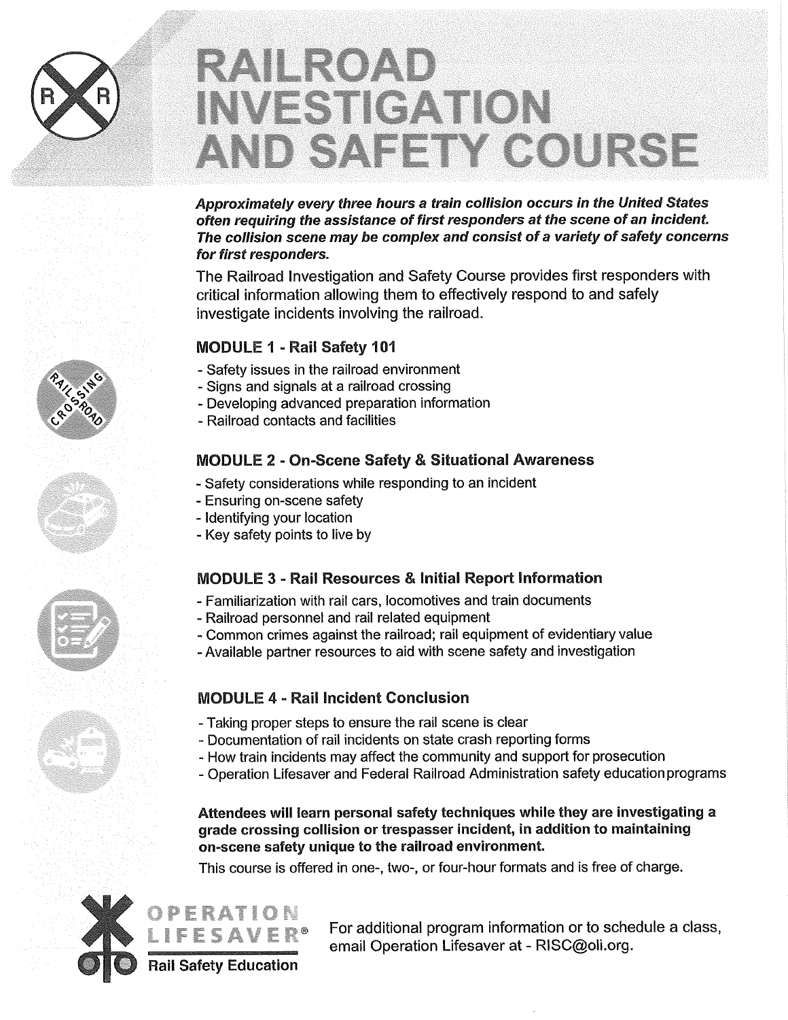# RAILROAD **INVESTIGATION** AND SAFETY COURSE

Approximately every three hours a train collision occurs in the United States often requiring the assistance of first responders at the scene of an incident. The collision scene may be complex and consist of a variety of safety concerns for first responders.

The Railroad Investigation and Safety Course provides first responders with critical information allowing them to effectively respond to and safely investigate incidents involving the railroad.

### MODULE 1 -Rail Safety 101

- Safety issues in the railroad environment
- Signs and signals at a railroad crossing
- Developing advanced preparation information
- Railroad contacts and facilities

## MODULE 2 - On-Scene Safety & Situational Awareness

- Safety considerations while responding to an incident
- Ensuring on-scene safety
- Identifying your location
- Key safety points to live by

### MODULE 3 - Rail Resources & Initial Report Information

- Familiarization with rail cars, locomotives and train documents
- Railroad personnel and rail related equipment
- Common crimes against the railroad; rail equipment of evidentiary value
- Available partner resources to aid with scene safety and investigation

## MODULE 4 - Rail Incident Conclusion

- Taking proper steps to ensure the rail scene is clear
- Documentation of rail incidents on state crash reporting forms
- How train incidents may affect the community and support for prosecution
- Operation Lifesaver and Federal Railroad Administration safety education programs

Attendees will learn personal safety techniques while they are investigating a grade crossing collision or trespasser incident, in addition to maintaining on-scene safety unique to the railroad environment.

This course is offered in one-, two-, or four-hour formats and is free of charge.



For additional program information or to schedule a class, email Operation Lifesaver at - RISC@oli.org.



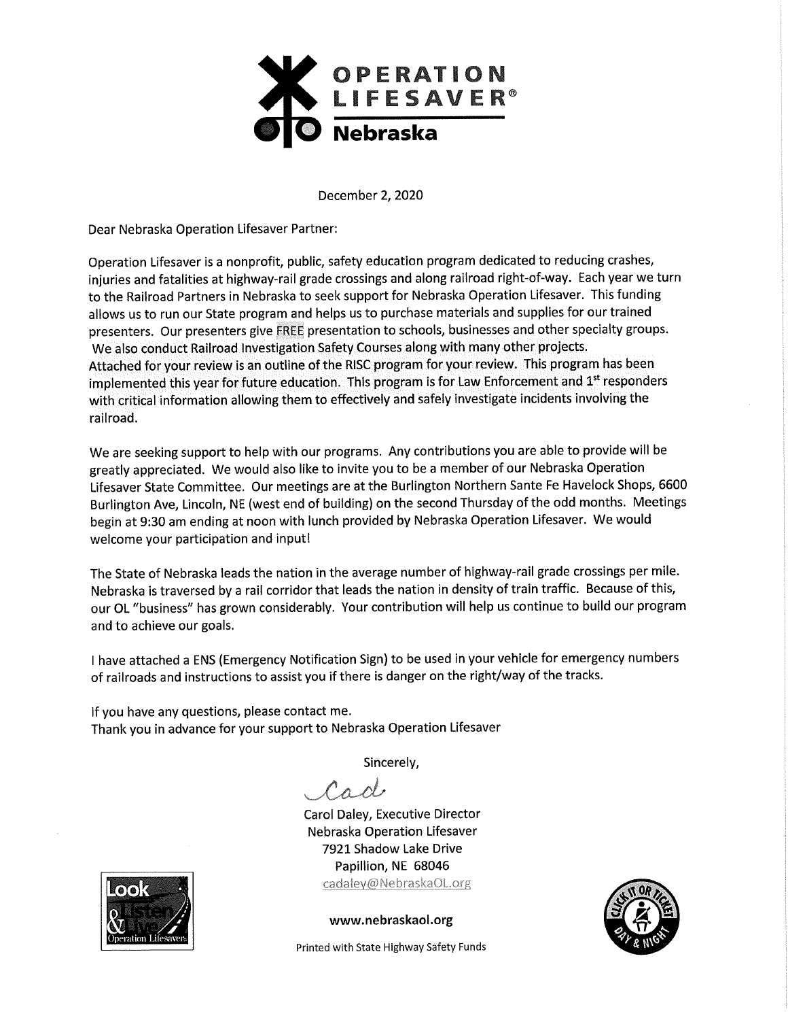

December 2, 2020

Dear Nebraska Operation Lifesaver Partner:

Operation Lifesaver is a nonprofit, public, safety education program dedicated to reducing crashes, injuries and fatalities at highway-rail grade crossings and along railroad right-of-way. Each year we turn to the Railroad Partners in Nebraska to seek support for Nebraska Operation Lifesaver. This funding allows us to run our State program and helps us to purchase materials and supplies for our trained presenters. Our presenters give FREE presentation to schools, businesses and other specialty groups. We also conduct Railroad Investigation Safety Courses along with many other projects. Attached for your review is an outline of the RISC program for your review. This program has been implemented this year for future education. This program is for Law Enforcement and 1<sup>st</sup> responders with critical information allowing them to effectively and safely investigate incidents involving the railroad.

We are seeking support to help with our programs. Any contributions you are able to provide will be greatly appreciated. We would also like to invite you to be a member of our Nebraska Operation Lifesaver State Committee. Our meetings are at the Burlington Northern Sante Fe Havelock Shops, 6600 Burlington Ave, Lincoln, NE (west end of building) on the second Thursday of the odd months. Meetings begin at 9:30 am ending at noon with lunch provided by Nebraska Operation Lifesaver. We would welcome your participation and input!

The State of Nebraska leads the nation in the average number of highway-rail grade crossings per mile. Nebraska is traversed by a rail corridor that leads the nation in density of train traffic. Because of this, our OL "business" has grown considerably. Your contribution will help us continue to build our program and to achieve our goals.

I have attached a ENS (Emergency Notification Sign) to be used in your vehicle for emergency numbers of railroads and instructions to assist you if there is danger on the right/way of the tracks.

If you have any questions, please contact me. Thank you in advance for your support to Nebraska Operation Lifesaver

Sincerely,

Cad

Carol Daley, Executive Director Nebraska Operation Lifesaver 7921 Shadow Lake Drive Papillion, NE 68046 cadaley@NebraskaOL.org



www.nebraskaol.org



Printed with State Highway Safety Funds